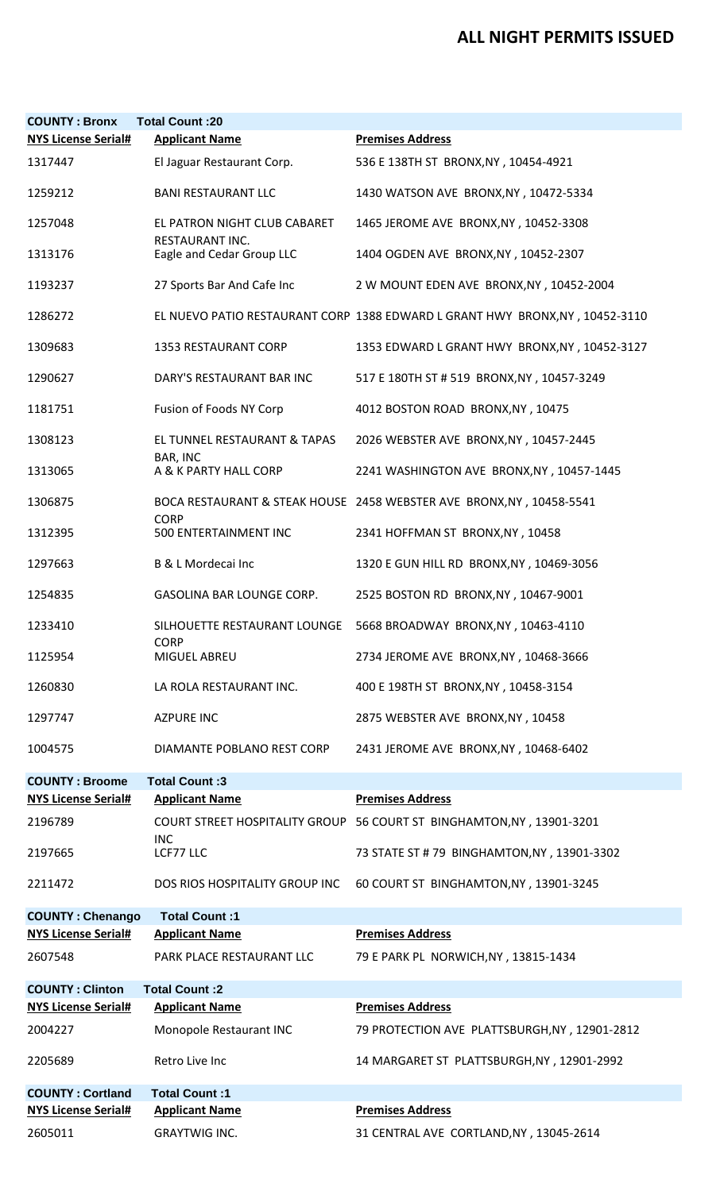## **ALL NIGHT PERMITS ISSUED**

| <b>COUNTY: Bronx</b>       | <b>Total Count:20</b>                                  |                                                                              |
|----------------------------|--------------------------------------------------------|------------------------------------------------------------------------------|
| <b>NYS License Serial#</b> | <b>Applicant Name</b>                                  | <b>Premises Address</b>                                                      |
| 1317447                    | El Jaguar Restaurant Corp.                             | 536 E 138TH ST BRONX, NY, 10454-4921                                         |
| 1259212                    | <b>BANI RESTAURANT LLC</b>                             | 1430 WATSON AVE BRONX, NY, 10472-5334                                        |
| 1257048                    | EL PATRON NIGHT CLUB CABARET<br><b>RESTAURANT INC.</b> | 1465 JEROME AVE BRONX, NY, 10452-3308                                        |
| 1313176                    | Eagle and Cedar Group LLC                              | 1404 OGDEN AVE BRONX, NY, 10452-2307                                         |
| 1193237                    | 27 Sports Bar And Cafe Inc                             | 2 W MOUNT EDEN AVE BRONX, NY, 10452-2004                                     |
| 1286272                    |                                                        | EL NUEVO PATIO RESTAURANT CORP 1388 EDWARD L GRANT HWY BRONX, NY, 10452-3110 |
| 1309683                    | <b>1353 RESTAURANT CORP</b>                            | 1353 EDWARD L GRANT HWY BRONX, NY, 10452-3127                                |
| 1290627                    | DARY'S RESTAURANT BAR INC                              | 517 E 180TH ST # 519 BRONX, NY, 10457-3249                                   |
| 1181751                    | Fusion of Foods NY Corp                                | 4012 BOSTON ROAD BRONX, NY, 10475                                            |
| 1308123                    | EL TUNNEL RESTAURANT & TAPAS<br>BAR, INC               | 2026 WEBSTER AVE BRONX, NY, 10457-2445                                       |
| 1313065                    | A & K PARTY HALL CORP                                  | 2241 WASHINGTON AVE BRONX, NY, 10457-1445                                    |
| 1306875                    | <b>CORP</b>                                            | BOCA RESTAURANT & STEAK HOUSE 2458 WEBSTER AVE BRONX, NY, 10458-5541         |
| 1312395                    | 500 ENTERTAINMENT INC                                  | 2341 HOFFMAN ST BRONX, NY, 10458                                             |
| 1297663                    | B & L Mordecai Inc                                     | 1320 E GUN HILL RD BRONX, NY, 10469-3056                                     |
| 1254835                    | GASOLINA BAR LOUNGE CORP.                              | 2525 BOSTON RD BRONX, NY, 10467-9001                                         |
| 1233410                    | SILHOUETTE RESTAURANT LOUNGE<br><b>CORP</b>            | 5668 BROADWAY BRONX, NY, 10463-4110                                          |
| 1125954                    | MIGUEL ABREU                                           | 2734 JEROME AVE BRONX, NY, 10468-3666                                        |
| 1260830                    | LA ROLA RESTAURANT INC.                                | 400 E 198TH ST BRONX, NY, 10458-3154                                         |
| 1297747                    | <b>AZPURE INC</b>                                      | 2875 WEBSTER AVE BRONX, NY, 10458                                            |
| 1004575                    | DIAMANTE POBLANO REST CORP                             | 2431 JEROME AVE BRONX, NY, 10468-6402                                        |
| <b>COUNTY: Broome</b>      | Total Count: 3                                         |                                                                              |
| <b>NYS License Serial#</b> | <b>Applicant Name</b>                                  | <b>Premises Address</b>                                                      |
| 2196789                    | <b>COURT STREET HOSPITALITY GROUP</b><br><b>INC</b>    | 56 COURT ST BINGHAMTON, NY, 13901-3201                                       |
| 2197665                    | LCF77 LLC                                              | 73 STATE ST # 79 BINGHAMTON, NY, 13901-3302                                  |
| 2211472                    | DOS RIOS HOSPITALITY GROUP INC                         | 60 COURT ST BINGHAMTON, NY, 13901-3245                                       |
| <b>COUNTY: Chenango</b>    | Total Count:1                                          |                                                                              |
| <b>NYS License Serial#</b> | <b>Applicant Name</b>                                  | <b>Premises Address</b>                                                      |
| 2607548                    | PARK PLACE RESTAURANT LLC                              | 79 E PARK PL NORWICH, NY, 13815-1434                                         |
| <b>COUNTY: Clinton</b>     | Total Count: 2                                         |                                                                              |
| <b>NYS License Serial#</b> | <b>Applicant Name</b>                                  | <b>Premises Address</b>                                                      |
| 2004227                    | Monopole Restaurant INC                                | 79 PROTECTION AVE PLATTSBURGH, NY, 12901-2812                                |
| 2205689                    | Retro Live Inc                                         | 14 MARGARET ST PLATTSBURGH, NY, 12901-2992                                   |
| <b>COUNTY: Cortland</b>    | Total Count:1                                          |                                                                              |
| <b>NYS License Serial#</b> | <b>Applicant Name</b>                                  | <b>Premises Address</b>                                                      |
| 2605011                    | <b>GRAYTWIG INC.</b>                                   | 31 CENTRAL AVE CORTLAND, NY, 13045-2614                                      |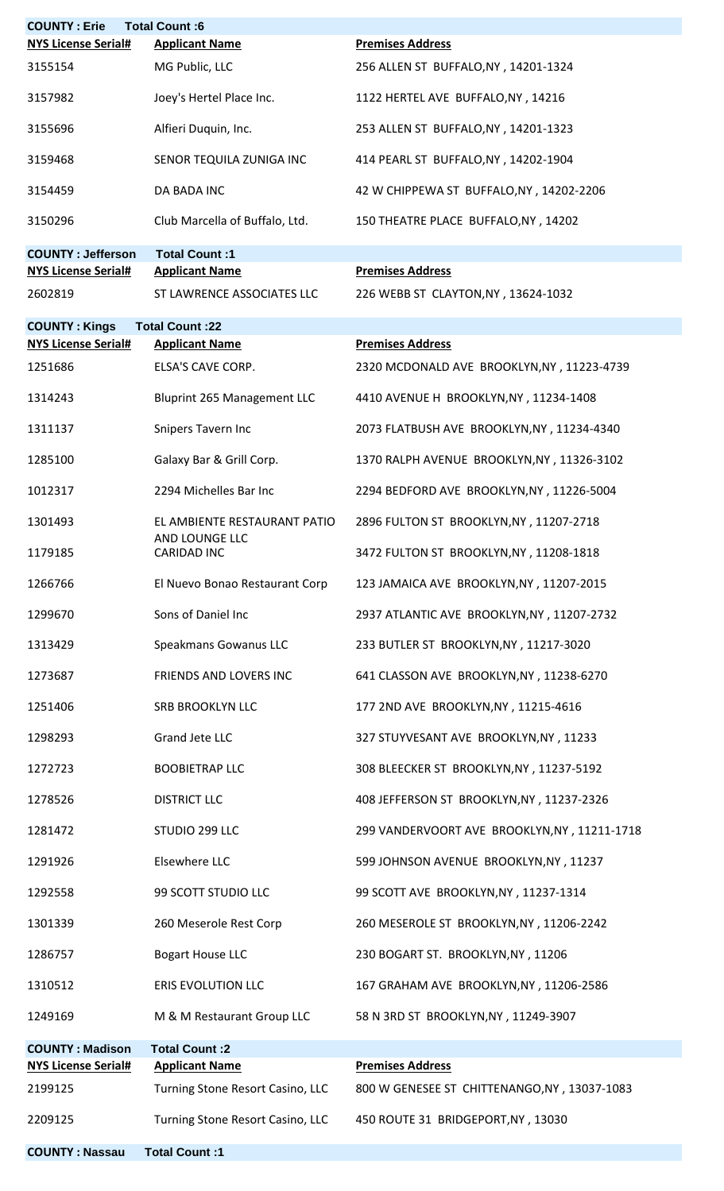| <b>COUNTY: Erie</b>        | <b>Total Count:6</b>                           |                                              |
|----------------------------|------------------------------------------------|----------------------------------------------|
| <b>NYS License Serial#</b> | <b>Applicant Name</b>                          | <b>Premises Address</b>                      |
| 3155154                    | MG Public, LLC                                 | 256 ALLEN ST BUFFALO, NY, 14201-1324         |
| 3157982                    | Joey's Hertel Place Inc.                       | 1122 HERTEL AVE BUFFALO, NY, 14216           |
| 3155696                    | Alfieri Duquin, Inc.                           | 253 ALLEN ST BUFFALO, NY, 14201-1323         |
| 3159468                    | SENOR TEQUILA ZUNIGA INC                       | 414 PEARL ST BUFFALO, NY, 14202-1904         |
| 3154459                    | DA BADA INC                                    | 42 W CHIPPEWA ST BUFFALO, NY, 14202-2206     |
| 3150296                    | Club Marcella of Buffalo, Ltd.                 | 150 THEATRE PLACE BUFFALO, NY, 14202         |
| <b>COUNTY: Jefferson</b>   | Total Count:1                                  |                                              |
| <b>NYS License Serial#</b> | <b>Applicant Name</b>                          | <b>Premises Address</b>                      |
| 2602819                    | ST LAWRENCE ASSOCIATES LLC                     | 226 WEBB ST CLAYTON, NY, 13624-1032          |
| <b>COUNTY: Kings</b>       | <b>Total Count:22</b>                          |                                              |
| <b>NYS License Serial#</b> | <b>Applicant Name</b>                          | <b>Premises Address</b>                      |
| 1251686                    | ELSA'S CAVE CORP.                              | 2320 MCDONALD AVE BROOKLYN, NY, 11223-4739   |
| 1314243                    | Bluprint 265 Management LLC                    | 4410 AVENUE H BROOKLYN, NY, 11234-1408       |
| 1311137                    | Snipers Tavern Inc                             | 2073 FLATBUSH AVE BROOKLYN, NY, 11234-4340   |
| 1285100                    | Galaxy Bar & Grill Corp.                       | 1370 RALPH AVENUE BROOKLYN, NY, 11326-3102   |
| 1012317                    | 2294 Michelles Bar Inc                         | 2294 BEDFORD AVE BROOKLYN, NY, 11226-5004    |
| 1301493                    | EL AMBIENTE RESTAURANT PATIO<br>AND LOUNGE LLC | 2896 FULTON ST BROOKLYN, NY, 11207-2718      |
| 1179185                    | <b>CARIDAD INC</b>                             | 3472 FULTON ST BROOKLYN, NY, 11208-1818      |
| 1266766                    | El Nuevo Bonao Restaurant Corp                 | 123 JAMAICA AVE BROOKLYN, NY, 11207-2015     |
| 1299670                    | Sons of Daniel Inc                             | 2937 ATLANTIC AVE BROOKLYN, NY, 11207-2732   |
| 1313429                    | Speakmans Gowanus LLC                          | 233 BUTLER ST BROOKLYN, NY, 11217-3020       |
| 1273687                    | FRIENDS AND LOVERS INC                         | 641 CLASSON AVE BROOKLYN, NY, 11238-6270     |
| 1251406                    | <b>SRB BROOKLYN LLC</b>                        | 177 2ND AVE BROOKLYN, NY, 11215-4616         |
| 1298293                    | Grand Jete LLC                                 | 327 STUYVESANT AVE BROOKLYN, NY, 11233       |
| 1272723                    | <b>BOOBIETRAP LLC</b>                          | 308 BLEECKER ST BROOKLYN, NY, 11237-5192     |
| 1278526                    | <b>DISTRICT LLC</b>                            | 408 JEFFERSON ST BROOKLYN, NY, 11237-2326    |
| 1281472                    | STUDIO 299 LLC                                 | 299 VANDERVOORT AVE BROOKLYN, NY, 11211-1718 |
| 1291926                    | Elsewhere LLC                                  | 599 JOHNSON AVENUE BROOKLYN, NY, 11237       |
| 1292558                    | 99 SCOTT STUDIO LLC                            | 99 SCOTT AVE BROOKLYN, NY, 11237-1314        |
| 1301339                    | 260 Meserole Rest Corp                         | 260 MESEROLE ST BROOKLYN, NY, 11206-2242     |
| 1286757                    | <b>Bogart House LLC</b>                        | 230 BOGART ST. BROOKLYN, NY, 11206           |
| 1310512                    | <b>ERIS EVOLUTION LLC</b>                      | 167 GRAHAM AVE BROOKLYN, NY, 11206-2586      |
| 1249169                    | M & M Restaurant Group LLC                     | 58 N 3RD ST BROOKLYN, NY, 11249-3907         |
| <b>COUNTY: Madison</b>     | Total Count: 2                                 |                                              |
| <b>NYS License Serial#</b> | <b>Applicant Name</b>                          | <b>Premises Address</b>                      |
| 2199125                    | Turning Stone Resort Casino, LLC               | 800 W GENESEE ST CHITTENANGO, NY, 13037-1083 |
| 2209125                    | Turning Stone Resort Casino, LLC               | 450 ROUTE 31 BRIDGEPORT, NY, 13030           |
| <b>COUNTY: Nassau</b>      | Total Count:1                                  |                                              |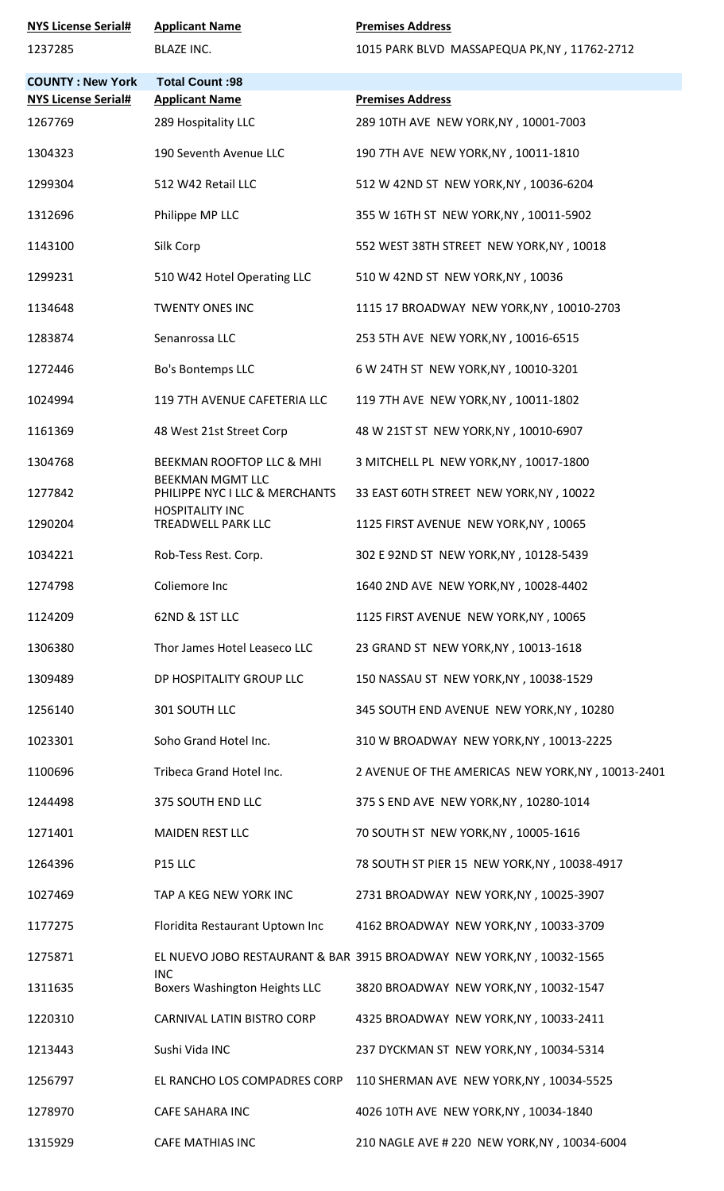| <b>NYS License Serial#</b> | <b>Applicant Name</b>                                     | <b>Premises Address</b>                                               |
|----------------------------|-----------------------------------------------------------|-----------------------------------------------------------------------|
| 1237285                    | <b>BLAZE INC.</b>                                         | 1015 PARK BLVD MASSAPEQUA PK, NY, 11762-2712                          |
| <b>COUNTY: New York</b>    | <b>Total Count: 98</b>                                    |                                                                       |
| <b>NYS License Serial#</b> | <b>Applicant Name</b>                                     | <b>Premises Address</b>                                               |
| 1267769                    | 289 Hospitality LLC                                       | 289 10TH AVE NEW YORK, NY, 10001-7003                                 |
| 1304323                    | 190 Seventh Avenue LLC                                    | 190 7TH AVE NEW YORK, NY, 10011-1810                                  |
| 1299304                    | 512 W42 Retail LLC                                        | 512 W 42ND ST NEW YORK, NY, 10036-6204                                |
| 1312696                    | Philippe MP LLC                                           | 355 W 16TH ST NEW YORK, NY, 10011-5902                                |
| 1143100                    | Silk Corp                                                 | 552 WEST 38TH STREET NEW YORK, NY, 10018                              |
| 1299231                    | 510 W42 Hotel Operating LLC                               | 510 W 42ND ST NEW YORK, NY, 10036                                     |
| 1134648                    | <b>TWENTY ONES INC</b>                                    | 1115 17 BROADWAY NEW YORK, NY , 10010-2703                            |
| 1283874                    | Senanrossa LLC                                            | 253 5TH AVE NEW YORK, NY, 10016-6515                                  |
| 1272446                    | Bo's Bontemps LLC                                         | 6 W 24TH ST NEW YORK, NY, 10010-3201                                  |
| 1024994                    | 119 7TH AVENUE CAFETERIA LLC                              | 119 7TH AVE NEW YORK, NY, 10011-1802                                  |
| 1161369                    | 48 West 21st Street Corp                                  | 48 W 21ST ST NEW YORK, NY, 10010-6907                                 |
| 1304768                    | BEEKMAN ROOFTOP LLC & MHI                                 | 3 MITCHELL PL NEW YORK, NY, 10017-1800                                |
| 1277842                    | <b>BEEKMAN MGMT LLC</b><br>PHILIPPE NYC I LLC & MERCHANTS | 33 EAST 60TH STREET NEW YORK, NY, 10022                               |
| 1290204                    | <b>HOSPITALITY INC</b><br>TREADWELL PARK LLC              | 1125 FIRST AVENUE NEW YORK, NY, 10065                                 |
| 1034221                    | Rob-Tess Rest. Corp.                                      | 302 E 92ND ST NEW YORK, NY, 10128-5439                                |
| 1274798                    | Coliemore Inc                                             | 1640 2ND AVE NEW YORK, NY, 10028-4402                                 |
| 1124209                    | 62ND & 1ST LLC                                            | 1125 FIRST AVENUE NEW YORK, NY, 10065                                 |
| 1306380                    | Thor James Hotel Leaseco LLC                              | 23 GRAND ST NEW YORK, NY, 10013-1618                                  |
| 1309489                    | DP HOSPITALITY GROUP LLC                                  | 150 NASSAU ST NEW YORK, NY, 10038-1529                                |
| 1256140                    | 301 SOUTH LLC                                             | 345 SOUTH END AVENUE NEW YORK, NY, 10280                              |
| 1023301                    | Soho Grand Hotel Inc.                                     | 310 W BROADWAY NEW YORK, NY, 10013-2225                               |
| 1100696                    | Tribeca Grand Hotel Inc.                                  | 2 AVENUE OF THE AMERICAS NEW YORK, NY, 10013-2401                     |
| 1244498                    | 375 SOUTH END LLC                                         | 375 S END AVE NEW YORK, NY, 10280-1014                                |
| 1271401                    | <b>MAIDEN REST LLC</b>                                    | 70 SOUTH ST NEW YORK, NY, 10005-1616                                  |
| 1264396                    | P15 LLC                                                   | 78 SOUTH ST PIER 15 NEW YORK, NY, 10038-4917                          |
| 1027469                    | TAP A KEG NEW YORK INC                                    | 2731 BROADWAY NEW YORK, NY, 10025-3907                                |
| 1177275                    | Floridita Restaurant Uptown Inc                           | 4162 BROADWAY NEW YORK, NY , 10033-3709                               |
| 1275871                    |                                                           | EL NUEVO JOBO RESTAURANT & BAR 3915 BROADWAY NEW YORK, NY, 10032-1565 |
| 1311635                    | <b>INC</b><br><b>Boxers Washington Heights LLC</b>        | 3820 BROADWAY NEW YORK, NY, 10032-1547                                |
| 1220310                    | CARNIVAL LATIN BISTRO CORP                                | 4325 BROADWAY NEW YORK, NY, 10033-2411                                |
| 1213443                    | Sushi Vida INC                                            | 237 DYCKMAN ST NEW YORK, NY , 10034-5314                              |
| 1256797                    |                                                           | EL RANCHO LOS COMPADRES CORP 110 SHERMAN AVE NEW YORK, NY, 10034-5525 |
| 1278970                    | <b>CAFE SAHARA INC</b>                                    | 4026 10TH AVE NEW YORK, NY, 10034-1840                                |
| 1315929                    | <b>CAFE MATHIAS INC</b>                                   | 210 NAGLE AVE # 220 NEW YORK, NY, 10034-6004                          |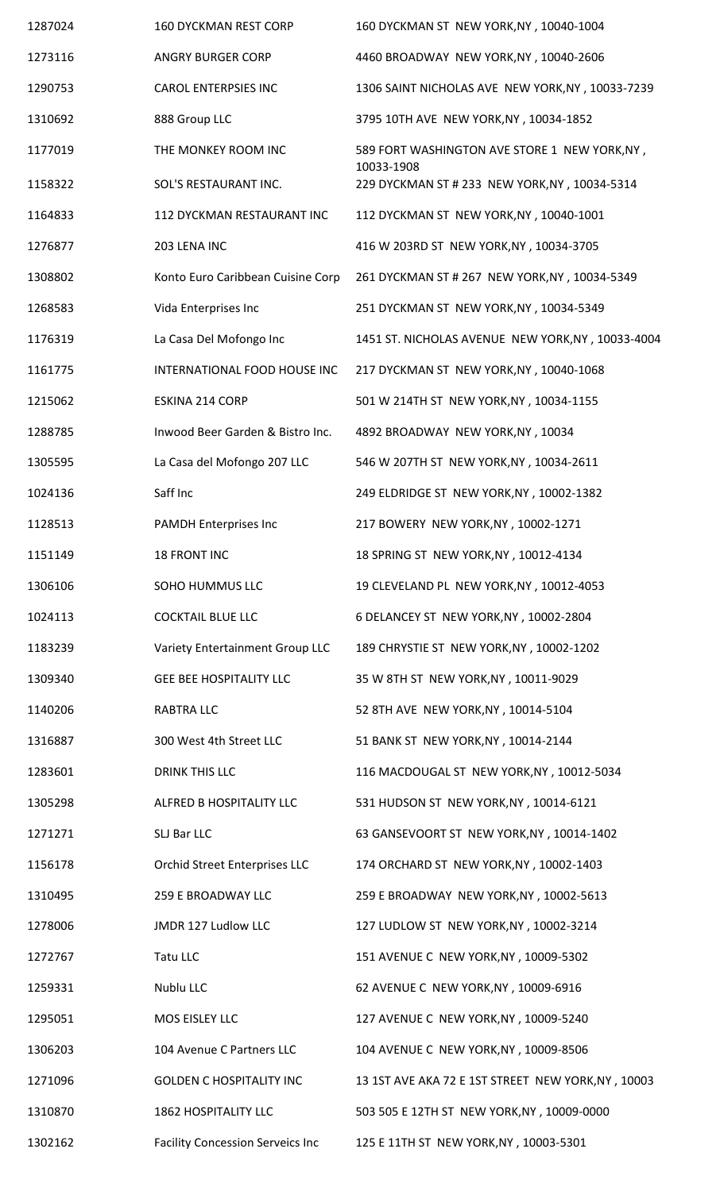| 1287024 | <b>160 DYCKMAN REST CORP</b>            | 160 DYCKMAN ST NEW YORK, NY, 10040-1004                     |
|---------|-----------------------------------------|-------------------------------------------------------------|
| 1273116 | <b>ANGRY BURGER CORP</b>                | 4460 BROADWAY NEW YORK, NY, 10040-2606                      |
| 1290753 | <b>CAROL ENTERPSIES INC</b>             | 1306 SAINT NICHOLAS AVE NEW YORK, NY, 10033-7239            |
| 1310692 | 888 Group LLC                           | 3795 10TH AVE NEW YORK, NY, 10034-1852                      |
| 1177019 | THE MONKEY ROOM INC                     | 589 FORT WASHINGTON AVE STORE 1 NEW YORK, NY,               |
| 1158322 | SOL'S RESTAURANT INC.                   | 10033-1908<br>229 DYCKMAN ST # 233 NEW YORK, NY, 10034-5314 |
| 1164833 | 112 DYCKMAN RESTAURANT INC              | 112 DYCKMAN ST NEW YORK, NY , 10040-1001                    |
| 1276877 | 203 LENA INC                            | 416 W 203RD ST NEW YORK, NY, 10034-3705                     |
| 1308802 | Konto Euro Caribbean Cuisine Corp       | 261 DYCKMAN ST # 267 NEW YORK, NY, 10034-5349               |
| 1268583 | Vida Enterprises Inc                    | 251 DYCKMAN ST NEW YORK, NY , 10034-5349                    |
| 1176319 | La Casa Del Mofongo Inc                 | 1451 ST. NICHOLAS AVENUE NEW YORK, NY, 10033-4004           |
| 1161775 | INTERNATIONAL FOOD HOUSE INC            | 217 DYCKMAN ST NEW YORK, NY , 10040-1068                    |
| 1215062 | ESKINA 214 CORP                         | 501 W 214TH ST NEW YORK, NY, 10034-1155                     |
| 1288785 | Inwood Beer Garden & Bistro Inc.        | 4892 BROADWAY NEW YORK, NY, 10034                           |
| 1305595 | La Casa del Mofongo 207 LLC             | 546 W 207TH ST NEW YORK, NY, 10034-2611                     |
| 1024136 | Saff Inc                                | 249 ELDRIDGE ST NEW YORK, NY, 10002-1382                    |
| 1128513 | <b>PAMDH Enterprises Inc</b>            | 217 BOWERY NEW YORK, NY, 10002-1271                         |
| 1151149 | <b>18 FRONT INC</b>                     | 18 SPRING ST NEW YORK, NY, 10012-4134                       |
| 1306106 | SOHO HUMMUS LLC                         | 19 CLEVELAND PL NEW YORK, NY, 10012-4053                    |
| 1024113 | <b>COCKTAIL BLUE LLC</b>                | 6 DELANCEY ST NEW YORK, NY, 10002-2804                      |
| 1183239 | Variety Entertainment Group LLC         | 189 CHRYSTIE ST NEW YORK, NY, 10002-1202                    |
| 1309340 | <b>GEE BEE HOSPITALITY LLC</b>          | 35 W 8TH ST NEW YORK, NY, 10011-9029                        |
| 1140206 | <b>RABTRA LLC</b>                       | 52 8TH AVE NEW YORK, NY, 10014-5104                         |
| 1316887 | 300 West 4th Street LLC                 | 51 BANK ST NEW YORK, NY, 10014-2144                         |
| 1283601 | <b>DRINK THIS LLC</b>                   | 116 MACDOUGAL ST NEW YORK, NY, 10012-5034                   |
| 1305298 | ALFRED B HOSPITALITY LLC                | 531 HUDSON ST NEW YORK, NY, 10014-6121                      |
| 1271271 | SLJ Bar LLC                             | 63 GANSEVOORT ST NEW YORK, NY, 10014-1402                   |
| 1156178 | <b>Orchid Street Enterprises LLC</b>    | 174 ORCHARD ST NEW YORK, NY, 10002-1403                     |
| 1310495 | 259 E BROADWAY LLC                      | 259 E BROADWAY NEW YORK, NY, 10002-5613                     |
| 1278006 | JMDR 127 Ludlow LLC                     | 127 LUDLOW ST NEW YORK, NY , 10002-3214                     |
| 1272767 | Tatu LLC                                | 151 AVENUE C NEW YORK, NY, 10009-5302                       |
| 1259331 | Nublu LLC                               | 62 AVENUE C NEW YORK, NY, 10009-6916                        |
| 1295051 | MOS EISLEY LLC                          | 127 AVENUE C NEW YORK, NY , 10009-5240                      |
| 1306203 | 104 Avenue C Partners LLC               | 104 AVENUE C NEW YORK, NY, 10009-8506                       |
| 1271096 | <b>GOLDEN C HOSPITALITY INC</b>         | 13 1ST AVE AKA 72 E 1ST STREET NEW YORK, NY, 10003          |
| 1310870 | <b>1862 HOSPITALITY LLC</b>             | 503 505 E 12TH ST NEW YORK, NY, 10009-0000                  |
| 1302162 | <b>Facility Concession Serveics Inc</b> | 125 E 11TH ST NEW YORK, NY, 10003-5301                      |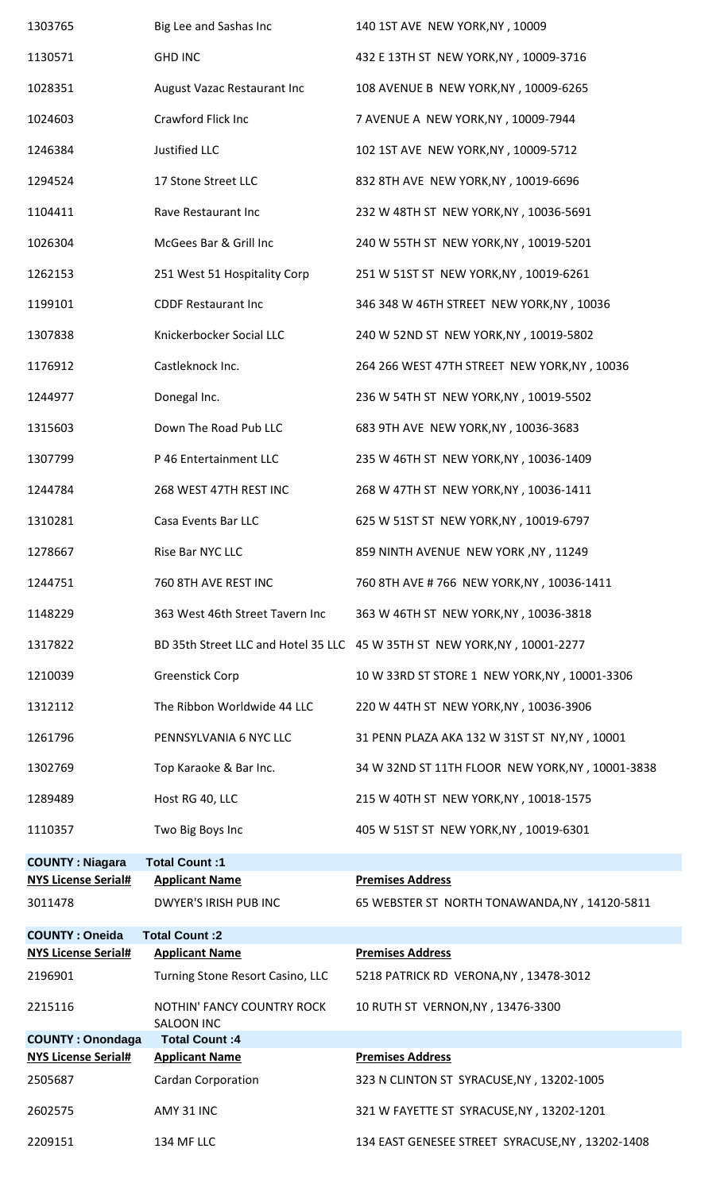| 1303765                               | Big Lee and Sashas Inc                                | 140 1ST AVE NEW YORK, NY, 10009                                           |
|---------------------------------------|-------------------------------------------------------|---------------------------------------------------------------------------|
| 1130571                               | <b>GHD INC</b>                                        | 432 E 13TH ST NEW YORK, NY, 10009-3716                                    |
| 1028351                               | August Vazac Restaurant Inc                           | 108 AVENUE B NEW YORK, NY, 10009-6265                                     |
| 1024603                               | Crawford Flick Inc                                    | 7 AVENUE A NEW YORK, NY , 10009-7944                                      |
| 1246384                               | Justified LLC                                         | 102 1ST AVE NEW YORK, NY, 10009-5712                                      |
| 1294524                               | 17 Stone Street LLC                                   | 832 8TH AVE NEW YORK, NY, 10019-6696                                      |
| 1104411                               | Rave Restaurant Inc                                   | 232 W 48TH ST NEW YORK, NY, 10036-5691                                    |
| 1026304                               | McGees Bar & Grill Inc                                | 240 W 55TH ST NEW YORK, NY, 10019-5201                                    |
| 1262153                               | 251 West 51 Hospitality Corp                          | 251 W 51ST ST NEW YORK, NY, 10019-6261                                    |
| 1199101                               | <b>CDDF Restaurant Inc</b>                            | 346 348 W 46TH STREET NEW YORK, NY, 10036                                 |
| 1307838                               | Knickerbocker Social LLC                              | 240 W 52ND ST NEW YORK, NY, 10019-5802                                    |
| 1176912                               | Castleknock Inc.                                      | 264 266 WEST 47TH STREET NEW YORK, NY, 10036                              |
| 1244977                               | Donegal Inc.                                          | 236 W 54TH ST NEW YORK, NY, 10019-5502                                    |
| 1315603                               | Down The Road Pub LLC                                 | 683 9TH AVE NEW YORK, NY, 10036-3683                                      |
| 1307799                               | P 46 Entertainment LLC                                | 235 W 46TH ST NEW YORK, NY, 10036-1409                                    |
| 1244784                               | 268 WEST 47TH REST INC                                | 268 W 47TH ST NEW YORK, NY, 10036-1411                                    |
| 1310281                               | Casa Events Bar LLC                                   | 625 W 51ST ST NEW YORK, NY, 10019-6797                                    |
| 1278667                               | Rise Bar NYC LLC                                      | 859 NINTH AVENUE NEW YORK, NY, 11249                                      |
| 1244751                               | 760 8TH AVE REST INC                                  | 760 8TH AVE # 766 NEW YORK, NY, 10036-1411                                |
| 1148229                               | 363 West 46th Street Tavern Inc                       | 363 W 46TH ST NEW YORK, NY, 10036-3818                                    |
| 1317822                               |                                                       | BD 35th Street LLC and Hotel 35 LLC 45 W 35TH ST NEW YORK, NY, 10001-2277 |
| 1210039                               | <b>Greenstick Corp</b>                                | 10 W 33RD ST STORE 1 NEW YORK, NY, 10001-3306                             |
| 1312112                               | The Ribbon Worldwide 44 LLC                           | 220 W 44TH ST NEW YORK, NY, 10036-3906                                    |
| 1261796                               | PENNSYLVANIA 6 NYC LLC                                | 31 PENN PLAZA AKA 132 W 31ST ST NY, NY, 10001                             |
| 1302769                               | Top Karaoke & Bar Inc.                                | 34 W 32ND ST 11TH FLOOR NEW YORK, NY, 10001-3838                          |
| 1289489                               | Host RG 40, LLC                                       | 215 W 40TH ST NEW YORK, NY, 10018-1575                                    |
| 1110357                               | Two Big Boys Inc                                      | 405 W 51ST ST NEW YORK, NY, 10019-6301                                    |
| <b>COUNTY: Niagara</b>                | Total Count:1                                         |                                                                           |
| <b>NYS License Serial#</b><br>3011478 | <b>Applicant Name</b><br><b>DWYER'S IRISH PUB INC</b> | <b>Premises Address</b><br>65 WEBSTER ST NORTH TONAWANDA, NY, 14120-5811  |
| <b>COUNTY: Oneida</b>                 | <b>Total Count:2</b>                                  |                                                                           |
| <b>NYS License Serial#</b>            | <b>Applicant Name</b>                                 | <b>Premises Address</b>                                                   |
| 2196901                               | Turning Stone Resort Casino, LLC                      | 5218 PATRICK RD VERONA, NY, 13478-3012                                    |
| 2215116                               | NOTHIN' FANCY COUNTRY ROCK<br><b>SALOON INC</b>       | 10 RUTH ST VERNON, NY, 13476-3300                                         |
| <b>COUNTY: Onondaga</b>               | <b>Total Count:4</b>                                  |                                                                           |
| <b>NYS License Serial#</b>            | <b>Applicant Name</b>                                 | <b>Premises Address</b>                                                   |
| 2505687                               | <b>Cardan Corporation</b>                             | 323 N CLINTON ST SYRACUSE, NY, 13202-1005                                 |
| 2602575                               | AMY 31 INC                                            | 321 W FAYETTE ST SYRACUSE, NY, 13202-1201                                 |
| 2209151                               | 134 MF LLC                                            | 134 EAST GENESEE STREET SYRACUSE, NY, 13202-1408                          |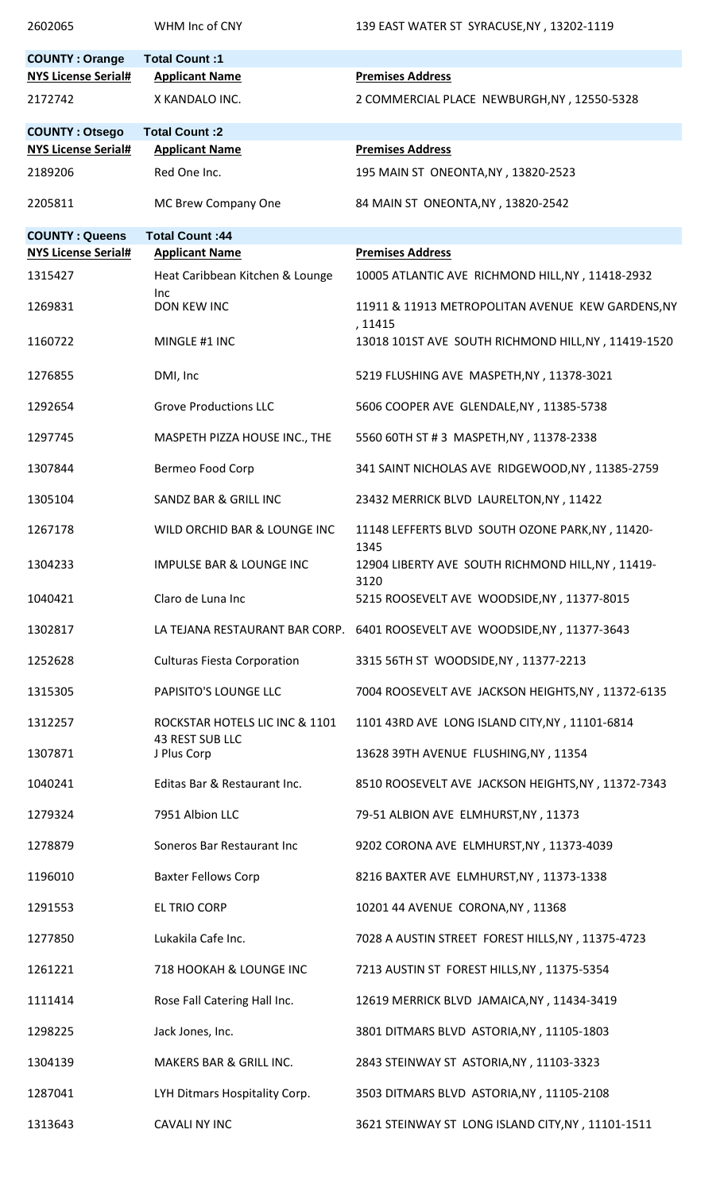| 2602065                                                        | WHM Inc of CNY                                           | 139 EAST WATER ST SYRACUSE, NY, 13202-1119                                 |
|----------------------------------------------------------------|----------------------------------------------------------|----------------------------------------------------------------------------|
| <b>COUNTY: Orange</b><br><b>NYS License Serial#</b><br>2172742 | Total Count:1<br><b>Applicant Name</b><br>X KANDALO INC. | <b>Premises Address</b><br>2 COMMERCIAL PLACE NEWBURGH, NY, 12550-5328     |
|                                                                |                                                          |                                                                            |
| <b>COUNTY: Otsego</b><br><b>NYS License Serial#</b>            | <b>Total Count:2</b><br><b>Applicant Name</b>            | <b>Premises Address</b>                                                    |
| 2189206                                                        | Red One Inc.                                             | 195 MAIN ST ONEONTA, NY, 13820-2523                                        |
| 2205811                                                        | MC Brew Company One                                      | 84 MAIN ST ONEONTA, NY, 13820-2542                                         |
| <b>COUNTY: Queens</b>                                          | <b>Total Count: 44</b>                                   |                                                                            |
| <b>NYS License Serial#</b>                                     | <b>Applicant Name</b>                                    | <b>Premises Address</b>                                                    |
| 1315427                                                        | Heat Caribbean Kitchen & Lounge<br>Inc.                  | 10005 ATLANTIC AVE RICHMOND HILL, NY, 11418-2932                           |
| 1269831                                                        | <b>DON KEW INC</b>                                       | 11911 & 11913 METROPOLITAN AVENUE KEW GARDENS, NY<br>, 11415               |
| 1160722                                                        | MINGLE #1 INC                                            | 13018 101ST AVE SOUTH RICHMOND HILL, NY, 11419-1520                        |
| 1276855                                                        | DMI, Inc                                                 | 5219 FLUSHING AVE MASPETH, NY, 11378-3021                                  |
| 1292654                                                        | <b>Grove Productions LLC</b>                             | 5606 COOPER AVE GLENDALE, NY, 11385-5738                                   |
| 1297745                                                        | MASPETH PIZZA HOUSE INC., THE                            | 5560 60TH ST # 3 MASPETH, NY, 11378-2338                                   |
| 1307844                                                        | Bermeo Food Corp                                         | 341 SAINT NICHOLAS AVE RIDGEWOOD, NY, 11385-2759                           |
| 1305104                                                        | <b>SANDZ BAR &amp; GRILL INC</b>                         | 23432 MERRICK BLVD LAURELTON, NY, 11422                                    |
| 1267178                                                        | WILD ORCHID BAR & LOUNGE INC                             | 11148 LEFFERTS BLVD SOUTH OZONE PARK, NY, 11420-                           |
| 1304233                                                        | <b>IMPULSE BAR &amp; LOUNGE INC</b>                      | 1345<br>12904 LIBERTY AVE SOUTH RICHMOND HILL, NY, 11419-<br>3120          |
| 1040421                                                        | Claro de Luna Inc                                        | 5215 ROOSEVELT AVE WOODSIDE, NY, 11377-8015                                |
| 1302817                                                        |                                                          | LA TEJANA RESTAURANT BAR CORP. 6401 ROOSEVELT AVE WOODSIDE, NY, 11377-3643 |
| 1252628                                                        | <b>Culturas Fiesta Corporation</b>                       | 3315 56TH ST WOODSIDE, NY, 11377-2213                                      |
| 1315305                                                        | PAPISITO'S LOUNGE LLC                                    | 7004 ROOSEVELT AVE JACKSON HEIGHTS, NY, 11372-6135                         |
| 1312257                                                        | ROCKSTAR HOTELS LIC INC & 1101<br><b>43 REST SUB LLC</b> | 1101 43RD AVE LONG ISLAND CITY, NY, 11101-6814                             |
| 1307871                                                        | J Plus Corp                                              | 13628 39TH AVENUE FLUSHING, NY, 11354                                      |
| 1040241                                                        | Editas Bar & Restaurant Inc.                             | 8510 ROOSEVELT AVE JACKSON HEIGHTS, NY, 11372-7343                         |
| 1279324                                                        | 7951 Albion LLC                                          | 79-51 ALBION AVE ELMHURST, NY, 11373                                       |
| 1278879                                                        | Soneros Bar Restaurant Inc                               | 9202 CORONA AVE ELMHURST, NY, 11373-4039                                   |
| 1196010                                                        | <b>Baxter Fellows Corp</b>                               | 8216 BAXTER AVE ELMHURST, NY, 11373-1338                                   |
| 1291553                                                        | <b>EL TRIO CORP</b>                                      | 10201 44 AVENUE CORONA, NY, 11368                                          |
| 1277850                                                        | Lukakila Cafe Inc.                                       | 7028 A AUSTIN STREET FOREST HILLS, NY, 11375-4723                          |
| 1261221                                                        | 718 HOOKAH & LOUNGE INC                                  | 7213 AUSTIN ST FOREST HILLS, NY, 11375-5354                                |
| 1111414                                                        | Rose Fall Catering Hall Inc.                             | 12619 MERRICK BLVD JAMAICA, NY, 11434-3419                                 |
| 1298225                                                        | Jack Jones, Inc.                                         | 3801 DITMARS BLVD ASTORIA, NY, 11105-1803                                  |
| 1304139                                                        | MAKERS BAR & GRILL INC.                                  | 2843 STEINWAY ST ASTORIA, NY, 11103-3323                                   |
| 1287041                                                        | LYH Ditmars Hospitality Corp.                            | 3503 DITMARS BLVD ASTORIA, NY, 11105-2108                                  |
| 1313643                                                        | <b>CAVALI NY INC</b>                                     | 3621 STEINWAY ST LONG ISLAND CITY, NY, 11101-1511                          |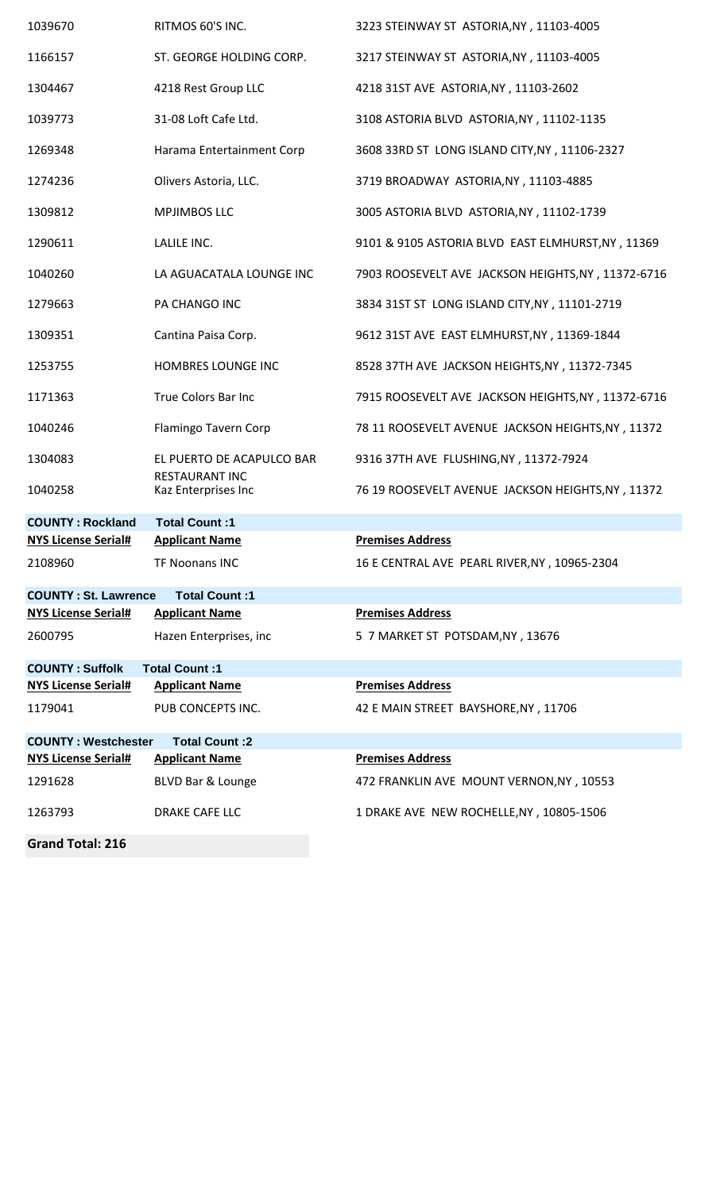| 1039670                     | RITMOS 60'S INC.                             | 3223 STEINWAY ST ASTORIA, NY, 11103-4005           |
|-----------------------------|----------------------------------------------|----------------------------------------------------|
| 1166157                     | ST. GEORGE HOLDING CORP.                     | 3217 STEINWAY ST ASTORIA, NY, 11103-4005           |
| 1304467                     | 4218 Rest Group LLC                          | 4218 31ST AVE ASTORIA, NY, 11103-2602              |
| 1039773                     | 31-08 Loft Cafe Ltd.                         | 3108 ASTORIA BLVD ASTORIA, NY, 11102-1135          |
| 1269348                     | Harama Entertainment Corp                    | 3608 33RD ST LONG ISLAND CITY, NY, 11106-2327      |
| 1274236                     | Olivers Astoria, LLC.                        | 3719 BROADWAY ASTORIA, NY, 11103-4885              |
| 1309812                     | <b>MPJIMBOS LLC</b>                          | 3005 ASTORIA BLVD ASTORIA, NY, 11102-1739          |
| 1290611                     | LALILE INC.                                  | 9101 & 9105 ASTORIA BLVD EAST ELMHURST, NY, 11369  |
| 1040260                     | LA AGUACATALA LOUNGE INC                     | 7903 ROOSEVELT AVE JACKSON HEIGHTS, NY, 11372-6716 |
| 1279663                     | PA CHANGO INC                                | 3834 31ST ST LONG ISLAND CITY, NY, 11101-2719      |
| 1309351                     | Cantina Paisa Corp.                          | 9612 31ST AVE EAST ELMHURST, NY, 11369-1844        |
| 1253755                     | HOMBRES LOUNGE INC                           | 8528 37TH AVE JACKSON HEIGHTS, NY, 11372-7345      |
| 1171363                     | True Colors Bar Inc                          | 7915 ROOSEVELT AVE JACKSON HEIGHTS, NY, 11372-6716 |
| 1040246                     | Flamingo Tavern Corp                         | 78 11 ROOSEVELT AVENUE JACKSON HEIGHTS, NY, 11372  |
| 1304083                     | EL PUERTO DE ACAPULCO BAR                    | 9316 37TH AVE FLUSHING, NY, 11372-7924             |
| 1040258                     | <b>RESTAURANT INC</b><br>Kaz Enterprises Inc | 76 19 ROOSEVELT AVENUE JACKSON HEIGHTS, NY, 11372  |
| <b>COUNTY: Rockland</b>     | <b>Total Count:1</b>                         |                                                    |
| <b>NYS License Serial#</b>  | <b>Applicant Name</b>                        | <b>Premises Address</b>                            |
| 2108960                     | <b>TF Noonans INC</b>                        | 16 E CENTRAL AVE PEARL RIVER, NY, 10965-2304       |
| <b>COUNTY: St. Lawrence</b> | Total Count:1                                |                                                    |
| <b>NYS License Serial#</b>  | <b>Applicant Name</b>                        | <b>Premises Address</b>                            |
| 2600795                     | Hazen Enterprises, inc                       | 5 7 MARKET ST POTSDAM, NY, 13676                   |
| <b>COUNTY: Suffolk</b>      | Total Count:1                                |                                                    |
| <b>NYS License Serial#</b>  | <b>Applicant Name</b>                        | <b>Premises Address</b>                            |
| 1179041                     | PUB CONCEPTS INC.                            | 42 E MAIN STREET BAYSHORE, NY, 11706               |
| <b>COUNTY: Westchester</b>  | Total Count: 2                               |                                                    |
| <b>NYS License Serial#</b>  | <b>Applicant Name</b>                        | <b>Premises Address</b>                            |
| 1291628                     | BLVD Bar & Lounge                            | 472 FRANKLIN AVE MOUNT VERNON, NY, 10553           |
| 1263793                     | DRAKE CAFE LLC                               | 1 DRAKE AVE NEW ROCHELLE, NY, 10805-1506           |

**Grand Total: 216**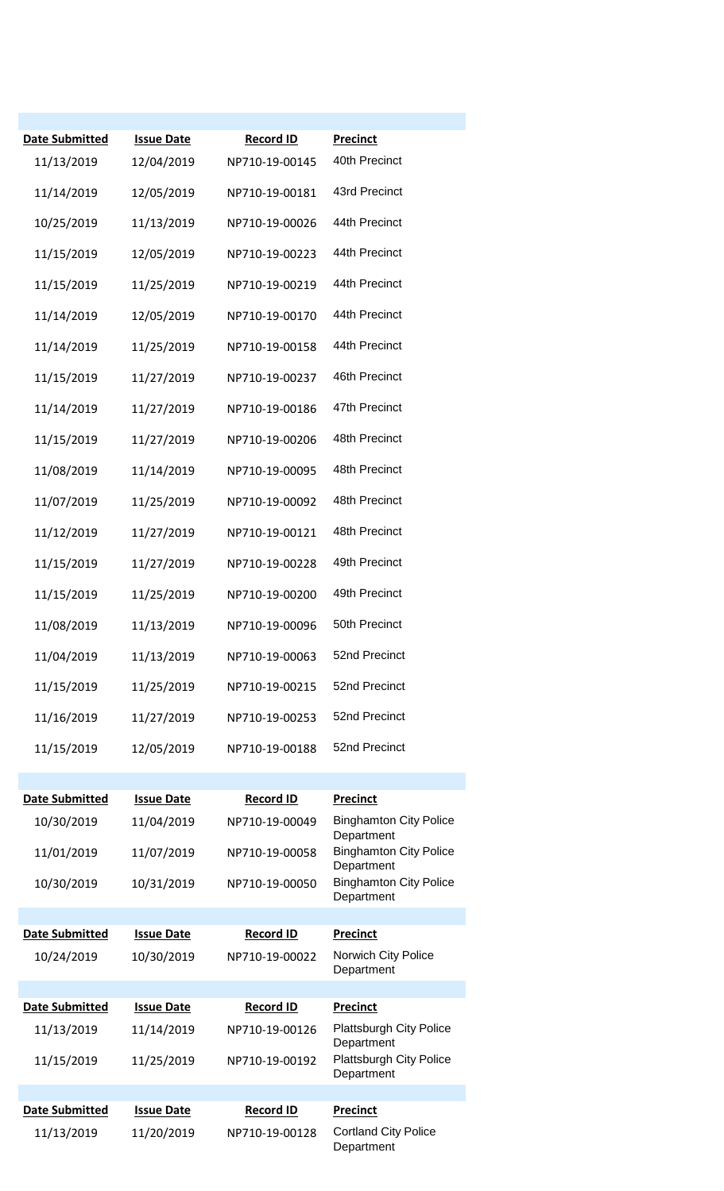| Date Submitted<br>11/13/2019 | <b>Issue Date</b><br>12/04/2019 | <b>Record ID</b><br>NP710-19-00145 | <b>Precinct</b><br>40th Precinct             |
|------------------------------|---------------------------------|------------------------------------|----------------------------------------------|
| 11/14/2019                   | 12/05/2019                      | NP710-19-00181                     | 43rd Precinct                                |
| 10/25/2019                   | 11/13/2019                      | NP710-19-00026                     | 44th Precinct                                |
| 11/15/2019                   | 12/05/2019                      | NP710-19-00223                     | 44th Precinct                                |
| 11/15/2019                   | 11/25/2019                      | NP710-19-00219                     | 44th Precinct                                |
| 11/14/2019                   | 12/05/2019                      | NP710-19-00170                     | 44th Precinct                                |
| 11/14/2019                   | 11/25/2019                      | NP710-19-00158                     | 44th Precinct                                |
| 11/15/2019                   | 11/27/2019                      | NP710-19-00237                     | 46th Precinct                                |
| 11/14/2019                   | 11/27/2019                      | NP710-19-00186                     | 47th Precinct                                |
| 11/15/2019                   | 11/27/2019                      | NP710-19-00206                     | 48th Precinct                                |
| 11/08/2019                   | 11/14/2019                      | NP710-19-00095                     | 48th Precinct                                |
| 11/07/2019                   | 11/25/2019                      | NP710-19-00092                     | 48th Precinct                                |
| 11/12/2019                   | 11/27/2019                      | NP710-19-00121                     | 48th Precinct                                |
| 11/15/2019                   | 11/27/2019                      | NP710-19-00228                     | 49th Precinct                                |
| 11/15/2019                   | 11/25/2019                      | NP710-19-00200                     | 49th Precinct                                |
| 11/08/2019                   | 11/13/2019                      | NP710-19-00096                     | 50th Precinct                                |
| 11/04/2019                   | 11/13/2019                      | NP710-19-00063                     | 52nd Precinct                                |
| 11/15/2019                   | 11/25/2019                      | NP710-19-00215                     | 52nd Precinct                                |
| 11/16/2019                   | 11/27/2019                      | NP710-19-00253                     | 52nd Precinct                                |
| 11/15/2019                   | 12/05/2019                      | NP710-19-00188                     | 52nd Precinct                                |
|                              |                                 |                                    |                                              |
| <b>Date Submitted</b>        | <b>Issue Date</b>               | <b>Record ID</b>                   | <b>Precinct</b>                              |
| 10/30/2019                   | 11/04/2019                      | NP710-19-00049                     | <b>Binghamton City Police</b><br>Department  |
| 11/01/2019                   | 11/07/2019                      | NP710-19-00058                     | <b>Binghamton City Police</b><br>Department  |
| 10/30/2019                   | 10/31/2019                      | NP710-19-00050                     | <b>Binghamton City Police</b><br>Department  |
| <b>Date Submitted</b>        | <b>Issue Date</b>               | <b>Record ID</b>                   | <b>Precinct</b>                              |
| 10/24/2019                   | 10/30/2019                      | NP710-19-00022                     | Norwich City Police                          |
|                              |                                 |                                    | Department                                   |
| <b>Date Submitted</b>        | <b>Issue Date</b>               | <b>Record ID</b>                   | <b>Precinct</b>                              |
| 11/13/2019                   | 11/14/2019                      | NP710-19-00126                     | <b>Plattsburgh City Police</b><br>Department |
| 11/15/2019                   | 11/25/2019                      | NP710-19-00192                     | <b>Plattsburgh City Police</b><br>Department |
|                              |                                 |                                    |                                              |
| <b>Date Submitted</b>        | <b>Issue Date</b>               | <b>Record ID</b>                   | Precinct                                     |
| 11/13/2019                   | 11/20/2019                      | NP710-19-00128                     | <b>Cortland City Police</b><br>Department    |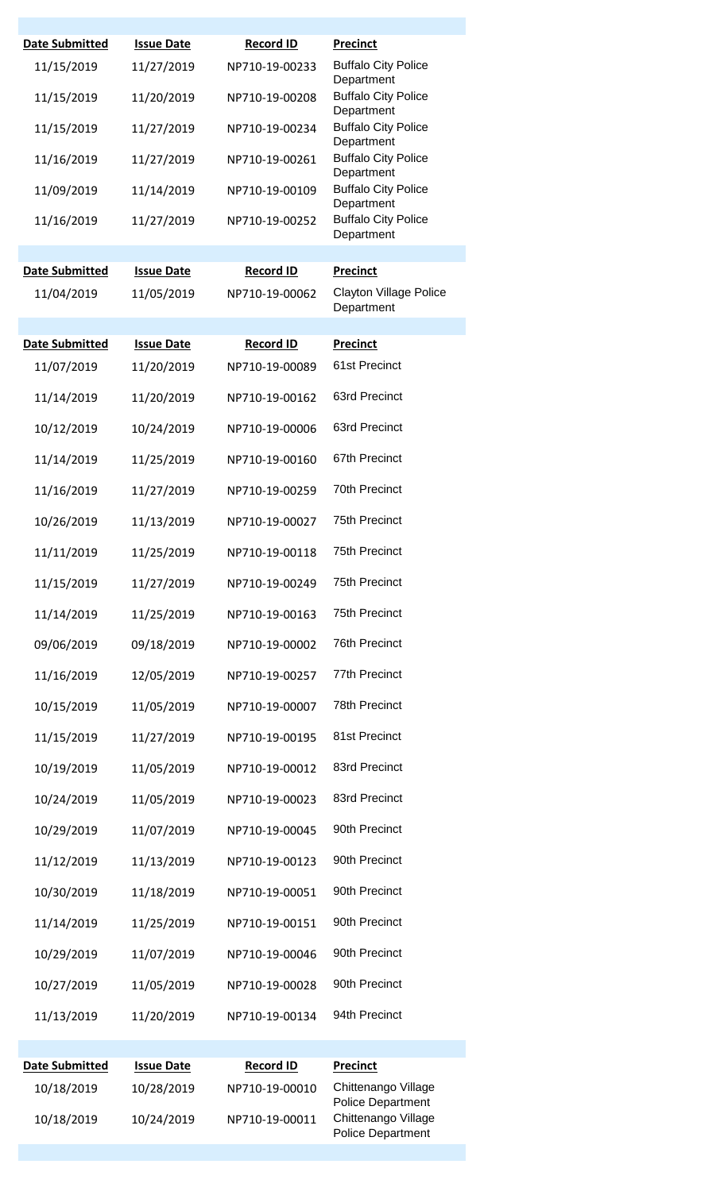| <b>Date Submitted</b>    | <b>Issue Date</b>        | <b>Record ID</b>                 | <b>Precinct</b>                                                                                    |
|--------------------------|--------------------------|----------------------------------|----------------------------------------------------------------------------------------------------|
| 11/15/2019               | 11/27/2019               | NP710-19-00233                   | <b>Buffalo City Police</b><br>Department                                                           |
| 11/15/2019               | 11/20/2019               | NP710-19-00208                   | <b>Buffalo City Police</b><br>Department                                                           |
| 11/15/2019               | 11/27/2019               | NP710-19-00234                   | <b>Buffalo City Police</b><br>Department                                                           |
| 11/16/2019               | 11/27/2019               | NP710-19-00261                   | <b>Buffalo City Police</b><br>Department                                                           |
| 11/09/2019               | 11/14/2019               | NP710-19-00109                   | <b>Buffalo City Police</b><br>Department                                                           |
| 11/16/2019               | 11/27/2019               | NP710-19-00252                   | <b>Buffalo City Police</b><br>Department                                                           |
|                          |                          |                                  |                                                                                                    |
| <b>Date Submitted</b>    | <b>Issue Date</b>        | <b>Record ID</b>                 | <b>Precinct</b>                                                                                    |
| 11/04/2019               | 11/05/2019               | NP710-19-00062                   | <b>Clayton Village Police</b><br>Department                                                        |
| <b>Date Submitted</b>    | <b>Issue Date</b>        | <b>Record ID</b>                 | <b>Precinct</b>                                                                                    |
| 11/07/2019               | 11/20/2019               | NP710-19-00089                   | 61st Precinct                                                                                      |
| 11/14/2019               | 11/20/2019               | NP710-19-00162                   | 63rd Precinct                                                                                      |
| 10/12/2019               | 10/24/2019               | NP710-19-00006                   | 63rd Precinct                                                                                      |
| 11/14/2019               | 11/25/2019               | NP710-19-00160                   | 67th Precinct                                                                                      |
| 11/16/2019               | 11/27/2019               | NP710-19-00259                   | 70th Precinct                                                                                      |
| 10/26/2019               | 11/13/2019               | NP710-19-00027                   | <b>75th Precinct</b>                                                                               |
| 11/11/2019               | 11/25/2019               | NP710-19-00118                   | <b>75th Precinct</b>                                                                               |
| 11/15/2019               | 11/27/2019               | NP710-19-00249                   | 75th Precinct                                                                                      |
| 11/14/2019               | 11/25/2019               | NP710-19-00163                   | 75th Precinct                                                                                      |
| 09/06/2019               | 09/18/2019               | NP710-19-00002                   | <b>76th Precinct</b>                                                                               |
| 11/16/2019               | 12/05/2019               | NP710-19-00257                   | 77th Precinct                                                                                      |
| 10/15/2019               | 11/05/2019               | NP710-19-00007                   | 78th Precinct                                                                                      |
| 11/15/2019               | 11/27/2019               | NP710-19-00195                   | 81st Precinct                                                                                      |
| 10/19/2019               | 11/05/2019               | NP710-19-00012                   | 83rd Precinct                                                                                      |
| 10/24/2019               | 11/05/2019               | NP710-19-00023                   | 83rd Precinct                                                                                      |
| 10/29/2019               | 11/07/2019               | NP710-19-00045                   | 90th Precinct                                                                                      |
| 11/12/2019               | 11/13/2019               | NP710-19-00123                   | 90th Precinct                                                                                      |
| 10/30/2019               | 11/18/2019               | NP710-19-00051                   | 90th Precinct                                                                                      |
| 11/14/2019               | 11/25/2019               | NP710-19-00151                   | 90th Precinct                                                                                      |
| 10/29/2019               | 11/07/2019               | NP710-19-00046                   | 90th Precinct                                                                                      |
| 10/27/2019               | 11/05/2019               | NP710-19-00028                   | 90th Precinct                                                                                      |
| 11/13/2019               | 11/20/2019               | NP710-19-00134                   | 94th Precinct                                                                                      |
|                          |                          |                                  |                                                                                                    |
| <b>Date Submitted</b>    | <b>Issue Date</b>        | <b>Record ID</b>                 | <b>Precinct</b>                                                                                    |
| 10/18/2019<br>10/18/2019 | 10/28/2019<br>10/24/2019 | NP710-19-00010<br>NP710-19-00011 | Chittenango Village<br><b>Police Department</b><br>Chittenango Village<br><b>Police Department</b> |
|                          |                          |                                  |                                                                                                    |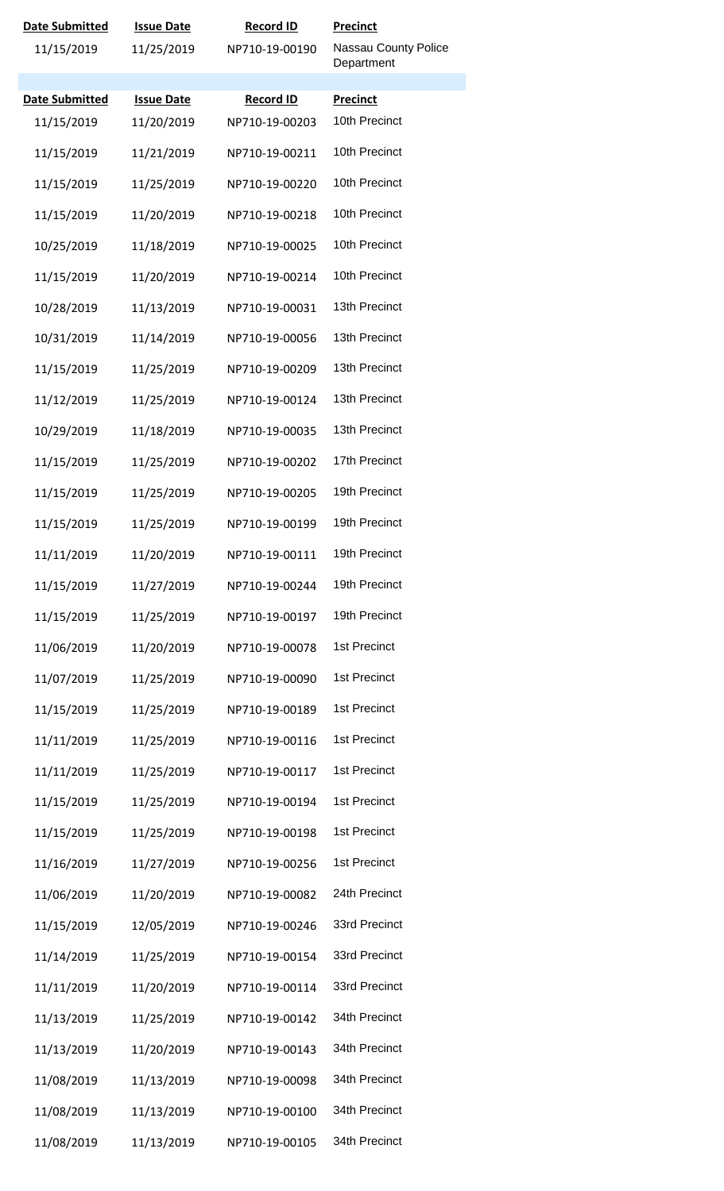| Date Submitted        | <b>Issue Date</b> | <b>Record ID</b> | <b>Precinct</b>                    |
|-----------------------|-------------------|------------------|------------------------------------|
| 11/15/2019            | 11/25/2019        | NP710-19-00190   | Nassau County Police<br>Department |
| <b>Date Submitted</b> | <b>Issue Date</b> | <b>Record ID</b> | <b>Precinct</b>                    |
| 11/15/2019            | 11/20/2019        | NP710-19-00203   | 10th Precinct                      |
| 11/15/2019            | 11/21/2019        | NP710-19-00211   | 10th Precinct                      |
| 11/15/2019            | 11/25/2019        | NP710-19-00220   | 10th Precinct                      |
| 11/15/2019            | 11/20/2019        | NP710-19-00218   | 10th Precinct                      |
| 10/25/2019            | 11/18/2019        | NP710-19-00025   | 10th Precinct                      |
| 11/15/2019            | 11/20/2019        | NP710-19-00214   | 10th Precinct                      |
| 10/28/2019            | 11/13/2019        | NP710-19-00031   | 13th Precinct                      |
| 10/31/2019            | 11/14/2019        | NP710-19-00056   | 13th Precinct                      |
| 11/15/2019            | 11/25/2019        | NP710-19-00209   | 13th Precinct                      |
| 11/12/2019            | 11/25/2019        | NP710-19-00124   | 13th Precinct                      |
| 10/29/2019            | 11/18/2019        | NP710-19-00035   | 13th Precinct                      |
| 11/15/2019            | 11/25/2019        | NP710-19-00202   | 17th Precinct                      |
| 11/15/2019            | 11/25/2019        | NP710-19-00205   | 19th Precinct                      |
| 11/15/2019            | 11/25/2019        | NP710-19-00199   | 19th Precinct                      |
| 11/11/2019            | 11/20/2019        | NP710-19-00111   | 19th Precinct                      |
| 11/15/2019            | 11/27/2019        | NP710-19-00244   | 19th Precinct                      |
| 11/15/2019            | 11/25/2019        | NP710-19-00197   | 19th Precinct                      |
| 11/06/2019            | 11/20/2019        | NP710-19-00078   | 1st Precinct                       |
| 11/07/2019            | 11/25/2019        | NP710-19-00090   | 1st Precinct                       |
| 11/15/2019            | 11/25/2019        | NP710-19-00189   | 1st Precinct                       |
| 11/11/2019            | 11/25/2019        | NP710-19-00116   | 1st Precinct                       |
| 11/11/2019            | 11/25/2019        | NP710-19-00117   | 1st Precinct                       |
| 11/15/2019            | 11/25/2019        | NP710-19-00194   | 1st Precinct                       |
| 11/15/2019            | 11/25/2019        | NP710-19-00198   | 1st Precinct                       |
| 11/16/2019            | 11/27/2019        | NP710-19-00256   | 1st Precinct                       |
| 11/06/2019            | 11/20/2019        | NP710-19-00082   | 24th Precinct                      |
| 11/15/2019            | 12/05/2019        | NP710-19-00246   | 33rd Precinct                      |
| 11/14/2019            | 11/25/2019        | NP710-19-00154   | 33rd Precinct                      |
| 11/11/2019            | 11/20/2019        | NP710-19-00114   | 33rd Precinct                      |
| 11/13/2019            | 11/25/2019        | NP710-19-00142   | 34th Precinct                      |
| 11/13/2019            | 11/20/2019        | NP710-19-00143   | 34th Precinct                      |
| 11/08/2019            | 11/13/2019        | NP710-19-00098   | 34th Precinct                      |
| 11/08/2019            | 11/13/2019        | NP710-19-00100   | 34th Precinct                      |
| 11/08/2019            | 11/13/2019        | NP710-19-00105   | 34th Precinct                      |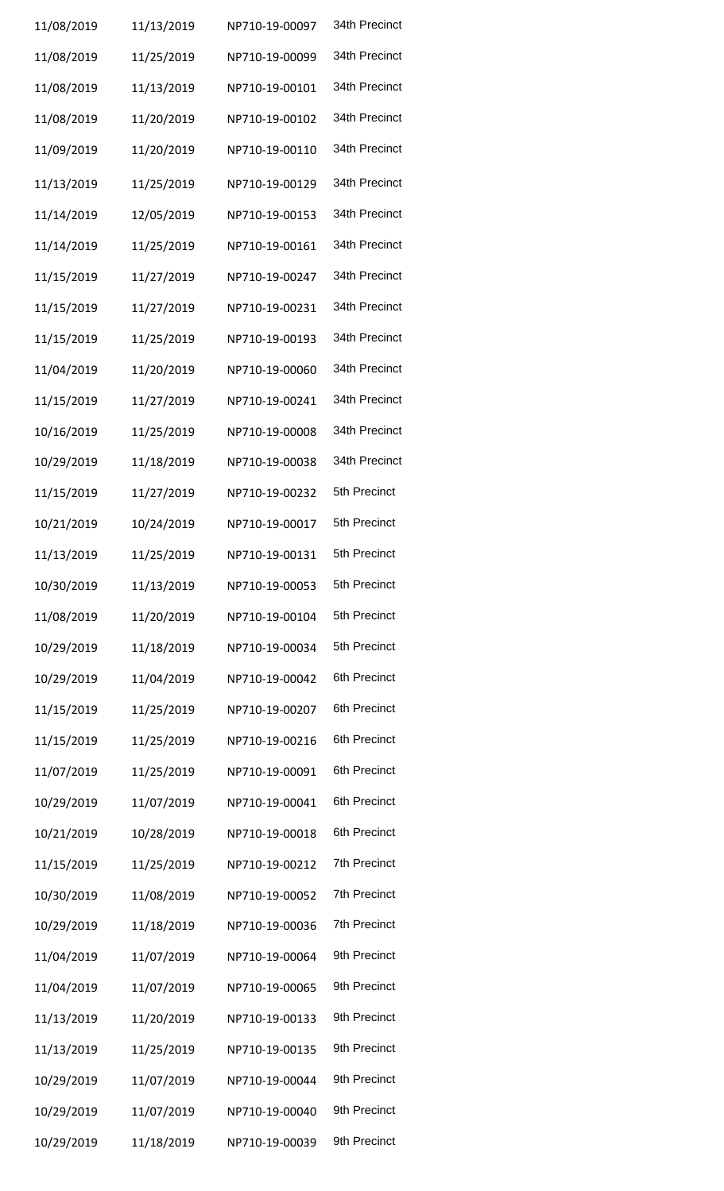| 11/08/2019 | 11/13/2019 | NP710-19-00097 | 34th Precinct |
|------------|------------|----------------|---------------|
| 11/08/2019 | 11/25/2019 | NP710-19-00099 | 34th Precinct |
| 11/08/2019 | 11/13/2019 | NP710-19-00101 | 34th Precinct |
| 11/08/2019 | 11/20/2019 | NP710-19-00102 | 34th Precinct |
| 11/09/2019 | 11/20/2019 | NP710-19-00110 | 34th Precinct |
| 11/13/2019 | 11/25/2019 | NP710-19-00129 | 34th Precinct |
| 11/14/2019 | 12/05/2019 | NP710-19-00153 | 34th Precinct |
| 11/14/2019 | 11/25/2019 | NP710-19-00161 | 34th Precinct |
| 11/15/2019 | 11/27/2019 | NP710-19-00247 | 34th Precinct |
| 11/15/2019 | 11/27/2019 | NP710-19-00231 | 34th Precinct |
| 11/15/2019 | 11/25/2019 | NP710-19-00193 | 34th Precinct |
| 11/04/2019 | 11/20/2019 | NP710-19-00060 | 34th Precinct |
| 11/15/2019 | 11/27/2019 | NP710-19-00241 | 34th Precinct |
| 10/16/2019 | 11/25/2019 | NP710-19-00008 | 34th Precinct |
| 10/29/2019 | 11/18/2019 | NP710-19-00038 | 34th Precinct |
| 11/15/2019 | 11/27/2019 | NP710-19-00232 | 5th Precinct  |
| 10/21/2019 | 10/24/2019 | NP710-19-00017 | 5th Precinct  |
| 11/13/2019 | 11/25/2019 | NP710-19-00131 | 5th Precinct  |
| 10/30/2019 | 11/13/2019 | NP710-19-00053 | 5th Precinct  |
| 11/08/2019 | 11/20/2019 | NP710-19-00104 | 5th Precinct  |
| 10/29/2019 | 11/18/2019 | NP710-19-00034 | 5th Precinct  |
| 10/29/2019 | 11/04/2019 | NP710-19-00042 | 6th Precinct  |
| 11/15/2019 | 11/25/2019 | NP710-19-00207 | 6th Precinct  |
| 11/15/2019 | 11/25/2019 | NP710-19-00216 | 6th Precinct  |
| 11/07/2019 | 11/25/2019 | NP710-19-00091 | 6th Precinct  |
| 10/29/2019 | 11/07/2019 | NP710-19-00041 | 6th Precinct  |
| 10/21/2019 | 10/28/2019 | NP710-19-00018 | 6th Precinct  |
| 11/15/2019 | 11/25/2019 | NP710-19-00212 | 7th Precinct  |
| 10/30/2019 | 11/08/2019 | NP710-19-00052 | 7th Precinct  |
| 10/29/2019 | 11/18/2019 | NP710-19-00036 | 7th Precinct  |
| 11/04/2019 | 11/07/2019 | NP710-19-00064 | 9th Precinct  |
| 11/04/2019 | 11/07/2019 | NP710-19-00065 | 9th Precinct  |
| 11/13/2019 | 11/20/2019 | NP710-19-00133 | 9th Precinct  |
| 11/13/2019 | 11/25/2019 | NP710-19-00135 | 9th Precinct  |
| 10/29/2019 | 11/07/2019 | NP710-19-00044 | 9th Precinct  |
| 10/29/2019 | 11/07/2019 | NP710-19-00040 | 9th Precinct  |
| 10/29/2019 | 11/18/2019 | NP710-19-00039 | 9th Precinct  |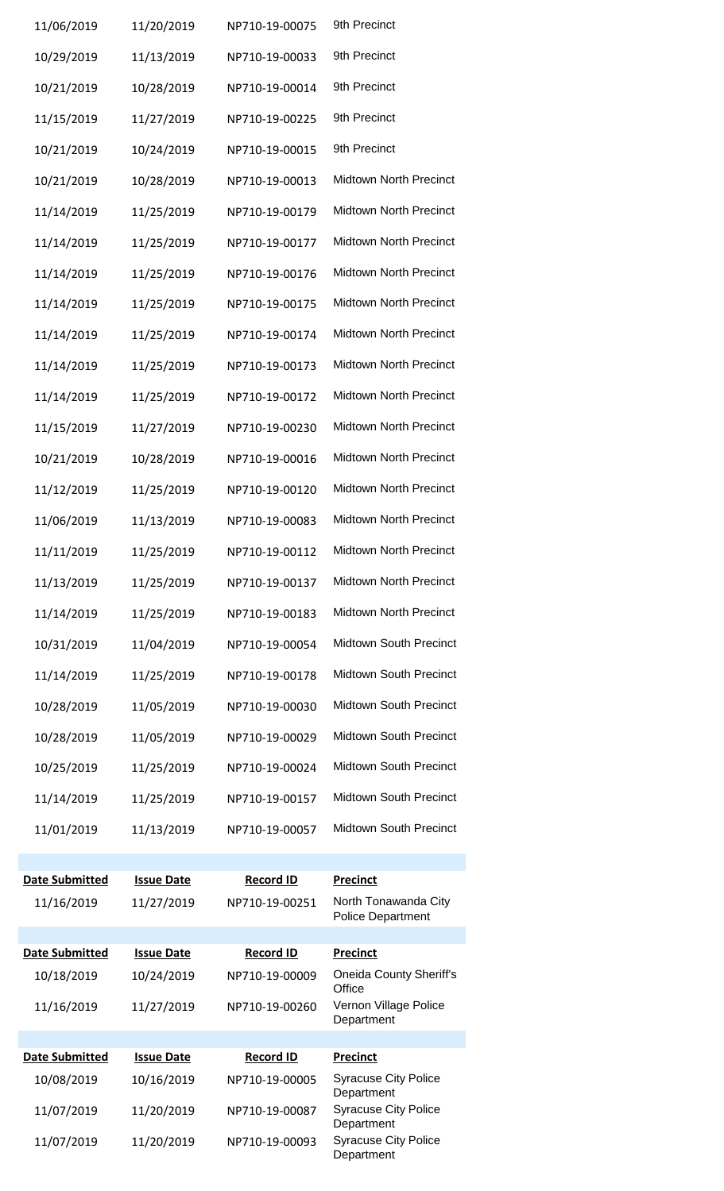| 11/06/2019                          | 11/20/2019                      | NP710-19-00075                     | 9th Precinct                              |
|-------------------------------------|---------------------------------|------------------------------------|-------------------------------------------|
| 10/29/2019                          | 11/13/2019                      | NP710-19-00033                     | 9th Precinct                              |
| 10/21/2019                          | 10/28/2019                      | NP710-19-00014                     | 9th Precinct                              |
| 11/15/2019                          | 11/27/2019                      | NP710-19-00225                     | 9th Precinct                              |
| 10/21/2019                          | 10/24/2019                      | NP710-19-00015                     | 9th Precinct                              |
| 10/21/2019                          | 10/28/2019                      | NP710-19-00013                     | <b>Midtown North Precinct</b>             |
| 11/14/2019                          | 11/25/2019                      | NP710-19-00179                     | Midtown North Precinct                    |
| 11/14/2019                          | 11/25/2019                      | NP710-19-00177                     | Midtown North Precinct                    |
| 11/14/2019                          | 11/25/2019                      | NP710-19-00176                     | Midtown North Precinct                    |
| 11/14/2019                          | 11/25/2019                      | NP710-19-00175                     | Midtown North Precinct                    |
| 11/14/2019                          | 11/25/2019                      | NP710-19-00174                     | Midtown North Precinct                    |
| 11/14/2019                          | 11/25/2019                      | NP710-19-00173                     | Midtown North Precinct                    |
| 11/14/2019                          | 11/25/2019                      | NP710-19-00172                     | Midtown North Precinct                    |
| 11/15/2019                          | 11/27/2019                      | NP710-19-00230                     | Midtown North Precinct                    |
| 10/21/2019                          | 10/28/2019                      | NP710-19-00016                     | Midtown North Precinct                    |
| 11/12/2019                          | 11/25/2019                      | NP710-19-00120                     | Midtown North Precinct                    |
| 11/06/2019                          | 11/13/2019                      | NP710-19-00083                     | Midtown North Precinct                    |
| 11/11/2019                          | 11/25/2019                      | NP710-19-00112                     | <b>Midtown North Precinct</b>             |
| 11/13/2019                          | 11/25/2019                      | NP710-19-00137                     | Midtown North Precinct                    |
| 11/14/2019                          | 11/25/2019                      | NP710-19-00183                     | <b>Midtown North Precinct</b>             |
| 10/31/2019                          | 11/04/2019                      | NP710-19-00054                     | Midtown South Precinct                    |
| 11/14/2019                          | 11/25/2019                      | NP710-19-00178                     | Midtown South Precinct                    |
| 10/28/2019                          | 11/05/2019                      | NP710-19-00030                     | Midtown South Precinct                    |
| 10/28/2019                          | 11/05/2019                      | NP710-19-00029                     | <b>Midtown South Precinct</b>             |
| 10/25/2019                          | 11/25/2019                      | NP710-19-00024                     | Midtown South Precinct                    |
| 11/14/2019                          | 11/25/2019                      | NP710-19-00157                     | Midtown South Precinct                    |
| 11/01/2019                          | 11/13/2019                      | NP710-19-00057                     | Midtown South Precinct                    |
|                                     |                                 |                                    |                                           |
| <b>Date Submitted</b><br>11/16/2019 | <b>Issue Date</b><br>11/27/2019 | <b>Record ID</b><br>NP710-19-00251 | <b>Precinct</b><br>North Tonawanda City   |
|                                     |                                 |                                    | <b>Police Department</b>                  |
| <b>Date Submitted</b>               | <b>Issue Date</b>               | <b>Record ID</b>                   | <b>Precinct</b>                           |
| 10/18/2019                          | 10/24/2019                      | NP710-19-00009                     | <b>Oneida County Sheriff's</b><br>Office  |
| 11/16/2019                          | 11/27/2019                      | NP710-19-00260                     | Vernon Village Police<br>Department       |
| Date Submitted                      | <b>Issue Date</b>               | <b>Record ID</b>                   | <b>Precinct</b>                           |
| 10/08/2019                          | 10/16/2019                      | NP710-19-00005                     | <b>Syracuse City Police</b><br>Department |
| 11/07/2019                          | 11/20/2019                      | NP710-19-00087                     | <b>Syracuse City Police</b><br>Department |
| 11/07/2019                          | 11/20/2019                      | NP710-19-00093                     | <b>Syracuse City Police</b><br>Department |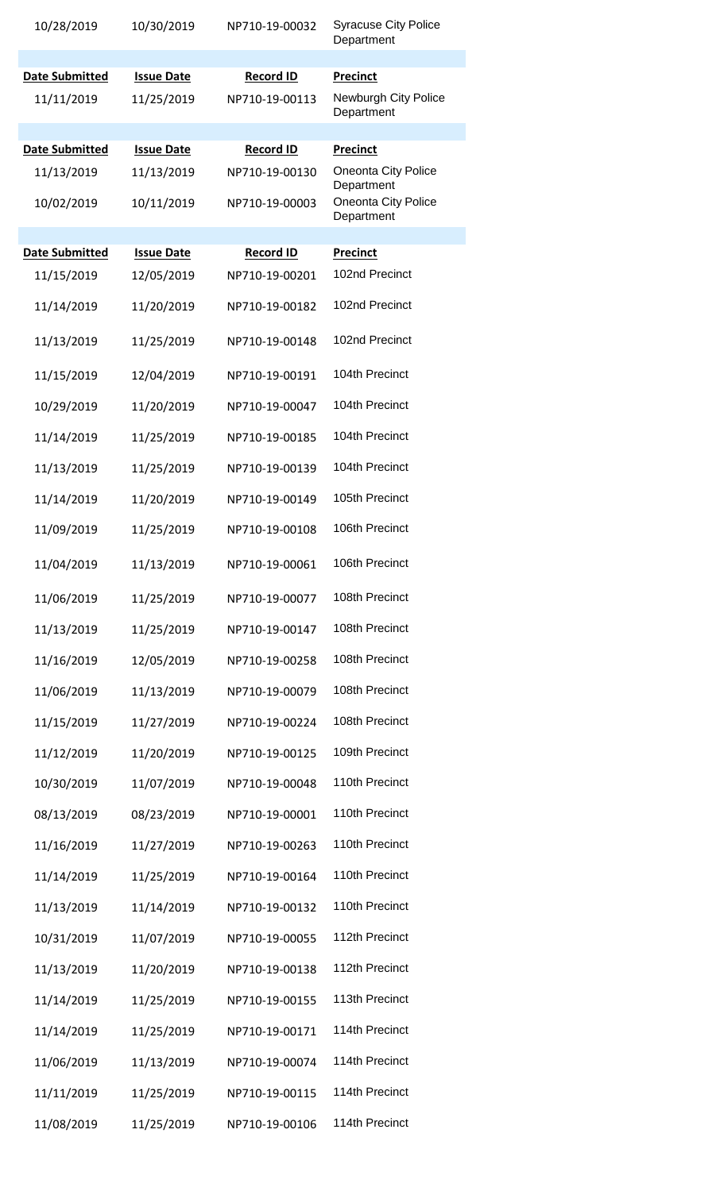| 10/28/2019                          | 10/30/2019                      | NP710-19-00032                     | <b>Syracuse City Police</b><br>Department             |
|-------------------------------------|---------------------------------|------------------------------------|-------------------------------------------------------|
|                                     |                                 |                                    |                                                       |
| <b>Date Submitted</b><br>11/11/2019 | <b>Issue Date</b><br>11/25/2019 | <b>Record ID</b><br>NP710-19-00113 | <b>Precinct</b><br>Newburgh City Police<br>Department |
|                                     |                                 |                                    |                                                       |
| Date Submitted                      | <b>Issue Date</b>               | <b>Record ID</b>                   | <b>Precinct</b>                                       |
| 11/13/2019                          | 11/13/2019                      | NP710-19-00130                     | <b>Oneonta City Police</b><br>Department              |
| 10/02/2019                          | 10/11/2019                      | NP710-19-00003                     | Oneonta City Police<br>Department                     |
| <b>Date Submitted</b>               | <b>Issue Date</b>               | <b>Record ID</b>                   | <b>Precinct</b>                                       |
| 11/15/2019                          | 12/05/2019                      | NP710-19-00201                     | 102nd Precinct                                        |
|                                     |                                 |                                    |                                                       |
| 11/14/2019                          | 11/20/2019                      | NP710-19-00182                     | 102nd Precinct                                        |
| 11/13/2019                          | 11/25/2019                      | NP710-19-00148                     | 102nd Precinct                                        |
| 11/15/2019                          | 12/04/2019                      | NP710-19-00191                     | 104th Precinct                                        |
| 10/29/2019                          | 11/20/2019                      | NP710-19-00047                     | 104th Precinct                                        |
| 11/14/2019                          | 11/25/2019                      | NP710-19-00185                     | 104th Precinct                                        |
| 11/13/2019                          | 11/25/2019                      | NP710-19-00139                     | 104th Precinct                                        |
| 11/14/2019                          | 11/20/2019                      | NP710-19-00149                     | 105th Precinct                                        |
| 11/09/2019                          | 11/25/2019                      | NP710-19-00108                     | 106th Precinct                                        |
| 11/04/2019                          | 11/13/2019                      | NP710-19-00061                     | 106th Precinct                                        |
| 11/06/2019                          | 11/25/2019                      | NP710-19-00077                     | 108th Precinct                                        |
| 11/13/2019                          | 11/25/2019                      | NP710-19-00147                     | 108th Precinct                                        |
| 11/16/2019                          | 12/05/2019                      | NP710-19-00258                     | 108th Precinct                                        |
| 11/06/2019                          | 11/13/2019                      | NP710-19-00079                     | 108th Precinct                                        |
| 11/15/2019                          | 11/27/2019                      | NP710-19-00224                     | 108th Precinct                                        |
| 11/12/2019                          | 11/20/2019                      | NP710-19-00125                     | 109th Precinct                                        |
| 10/30/2019                          | 11/07/2019                      | NP710-19-00048                     | 110th Precinct                                        |
| 08/13/2019                          | 08/23/2019                      | NP710-19-00001                     | 110th Precinct                                        |
| 11/16/2019                          | 11/27/2019                      | NP710-19-00263                     | 110th Precinct                                        |
| 11/14/2019                          | 11/25/2019                      | NP710-19-00164                     | 110th Precinct                                        |
| 11/13/2019                          | 11/14/2019                      | NP710-19-00132                     | 110th Precinct                                        |
| 10/31/2019                          | 11/07/2019                      | NP710-19-00055                     | 112th Precinct                                        |
| 11/13/2019                          | 11/20/2019                      | NP710-19-00138                     | 112th Precinct                                        |
| 11/14/2019                          | 11/25/2019                      | NP710-19-00155                     | 113th Precinct                                        |
| 11/14/2019                          | 11/25/2019                      | NP710-19-00171                     | 114th Precinct                                        |
| 11/06/2019                          | 11/13/2019                      | NP710-19-00074                     | 114th Precinct                                        |
| 11/11/2019                          | 11/25/2019                      | NP710-19-00115                     | 114th Precinct                                        |
| 11/08/2019                          | 11/25/2019                      | NP710-19-00106                     | 114th Precinct                                        |